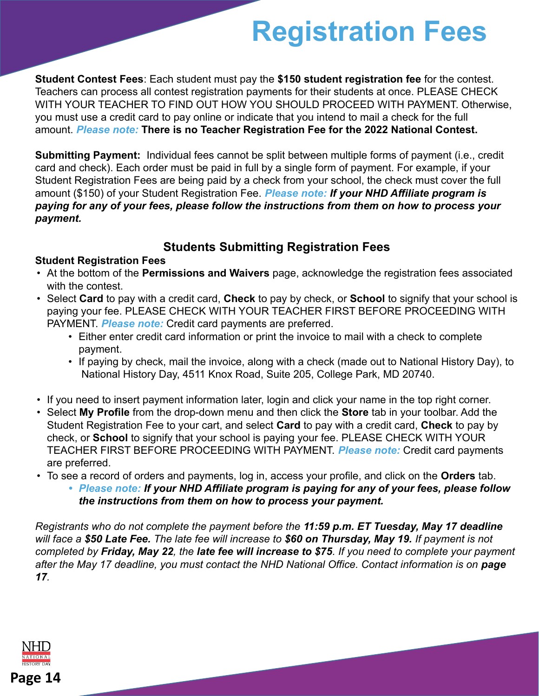# **Registration Fees**

**Student Contest Fees**: Each student must pay the **\$150 student registration fee** for the contest. Teachers can process all contest registration payments for their students at once. PLEASE CHECK WITH YOUR TEACHER TO FIND OUT HOW YOU SHOULD PROCEED WITH PAYMENT. Otherwise, you must use a credit card to pay online or indicate that you intend to mail a check for the full amount. *Please note:* **There is no Teacher Registration Fee for the 2022 National Contest.** 

**Submitting Payment:** Individual fees cannot be split between multiple forms of payment (i.e., credit card and check). Each order must be paid in full by a single form of payment. For example, if your Student Registration Fees are being paid by a check from your school, the check must cover the full amount (\$150) of your Student Registration Fee. *Please note: If your NHD Affiliate program is paying for any of your fees, please follow the instructions from them on how to process your payment.*

### **Students Submitting Registration Fees**

#### **Student Registration Fees**

- At the bottom of the **Permissions and Waivers** page, acknowledge the registration fees associated with the contest.
- Select **Card** to pay with a credit card, **Check** to pay by check, or **School** to signify that your school is paying your fee. PLEASE CHECK WITH YOUR TEACHER FIRST BEFORE PROCEEDING WITH PAYMENT. *Please note:* Credit card payments are preferred.
	- Either enter credit card information or print the invoice to mail with a check to complete payment.
	- If paying by check, mail the invoice, along with a check (made out to National History Day), to National History Day, 4511 Knox Road, Suite 205, College Park, MD 20740.
- If you need to insert payment information later, login and click your name in the top right corner.
- Select **My Profile** from the drop-down menu and then click the **Store** tab in your toolbar. Add the Student Registration Fee to your cart, and select **Card** to pay with a credit card, **Check** to pay by check, or **School** to signify that your school is paying your fee. PLEASE CHECK WITH YOUR TEACHER FIRST BEFORE PROCEEDING WITH PAYMENT. *Please note:* Credit card payments are preferred.
- To see a record of orders and payments, log in, access your profile, and click on the **Orders** tab.
	- *• Please note: If your NHD Affiliate program is paying for any of your fees, please follow the instructions from them on how to process your payment.*

*Registrants who do not complete the payment before the 11:59 p.m. ET Tuesday, May 17 deadline will face a \$50 Late Fee. The late fee will increase to \$60 on Thursday, May 19. If payment is not completed by Friday, May 22, the late fee will increase to \$75. If you need to complete your payment* after the May 17 deadline, you must contact the NHD National Office. Contact information is on **page** *17.*